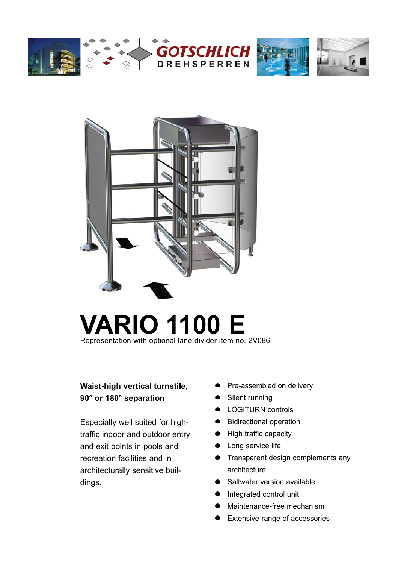







# **VARIO 1100 E** Representation with optional lane divider item no. 2V086

# **Waist-high vertical turnstile, 90° or 180° separation**

Especially well suited for hightraffic indoor and outdoor entry and exit points in pools and recreation facilities and in architecturally sensitive buildings.

- Pre-assembled on delivery
- Silent running
- **•** LOGITURN controls
- Bidirectional operation
- High traffic capacity
- Long service life
- **•** Transparent design complements any architecture
- Saltwater version available
- $\bullet$ Integrated control unit
- Maintenance-free mechanism
- Extensive range of accessories